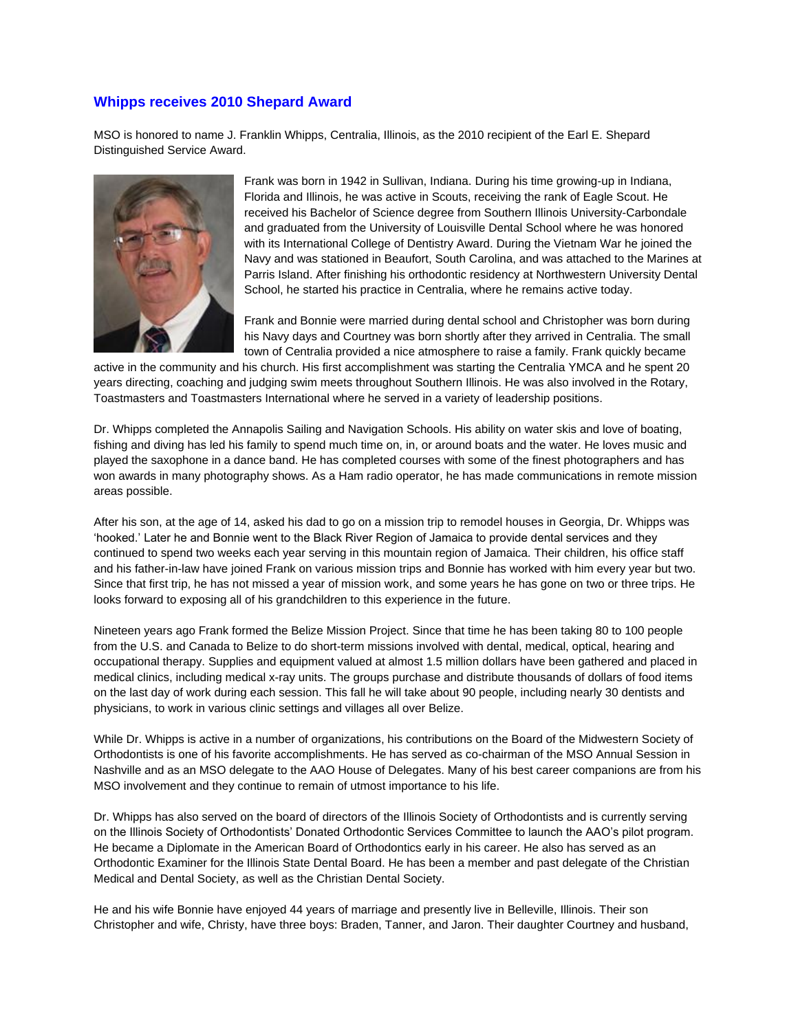## **Whipps receives 2010 Shepard Award**

MSO is honored to name J. Franklin Whipps, Centralia, Illinois, as the 2010 recipient of the Earl E. Shepard Distinguished Service Award.



Frank was born in 1942 in Sullivan, Indiana. During his time growing-up in Indiana, Florida and Illinois, he was active in Scouts, receiving the rank of Eagle Scout. He received his Bachelor of Science degree from Southern Illinois University-Carbondale and graduated from the University of Louisville Dental School where he was honored with its International College of Dentistry Award. During the Vietnam War he joined the Navy and was stationed in Beaufort, South Carolina, and was attached to the Marines at Parris Island. After finishing his orthodontic residency at Northwestern University Dental School, he started his practice in Centralia, where he remains active today.

Frank and Bonnie were married during dental school and Christopher was born during his Navy days and Courtney was born shortly after they arrived in Centralia. The small town of Centralia provided a nice atmosphere to raise a family. Frank quickly became

active in the community and his church. His first accomplishment was starting the Centralia YMCA and he spent 20 years directing, coaching and judging swim meets throughout Southern Illinois. He was also involved in the Rotary, Toastmasters and Toastmasters International where he served in a variety of leadership positions.

Dr. Whipps completed the Annapolis Sailing and Navigation Schools. His ability on water skis and love of boating, fishing and diving has led his family to spend much time on, in, or around boats and the water. He loves music and played the saxophone in a dance band. He has completed courses with some of the finest photographers and has won awards in many photography shows. As a Ham radio operator, he has made communications in remote mission areas possible.

After his son, at the age of 14, asked his dad to go on a mission trip to remodel houses in Georgia, Dr. Whipps was 'hooked.' Later he and Bonnie went to the Black River Region of Jamaica to provide dental services and they continued to spend two weeks each year serving in this mountain region of Jamaica. Their children, his office staff and his father-in-law have joined Frank on various mission trips and Bonnie has worked with him every year but two. Since that first trip, he has not missed a year of mission work, and some years he has gone on two or three trips. He looks forward to exposing all of his grandchildren to this experience in the future.

Nineteen years ago Frank formed the Belize Mission Project. Since that time he has been taking 80 to 100 people from the U.S. and Canada to Belize to do short-term missions involved with dental, medical, optical, hearing and occupational therapy. Supplies and equipment valued at almost 1.5 million dollars have been gathered and placed in medical clinics, including medical x-ray units. The groups purchase and distribute thousands of dollars of food items on the last day of work during each session. This fall he will take about 90 people, including nearly 30 dentists and physicians, to work in various clinic settings and villages all over Belize.

While Dr. Whipps is active in a number of organizations, his contributions on the Board of the Midwestern Society of Orthodontists is one of his favorite accomplishments. He has served as co-chairman of the MSO Annual Session in Nashville and as an MSO delegate to the AAO House of Delegates. Many of his best career companions are from his MSO involvement and they continue to remain of utmost importance to his life.

Dr. Whipps has also served on the board of directors of the Illinois Society of Orthodontists and is currently serving on the Illinois Society of Orthodontists' Donated Orthodontic Services Committee to launch the AAO's pilot program. He became a Diplomate in the American Board of Orthodontics early in his career. He also has served as an Orthodontic Examiner for the Illinois State Dental Board. He has been a member and past delegate of the Christian Medical and Dental Society, as well as the Christian Dental Society.

He and his wife Bonnie have enjoyed 44 years of marriage and presently live in Belleville, Illinois. Their son Christopher and wife, Christy, have three boys: Braden, Tanner, and Jaron. Their daughter Courtney and husband,